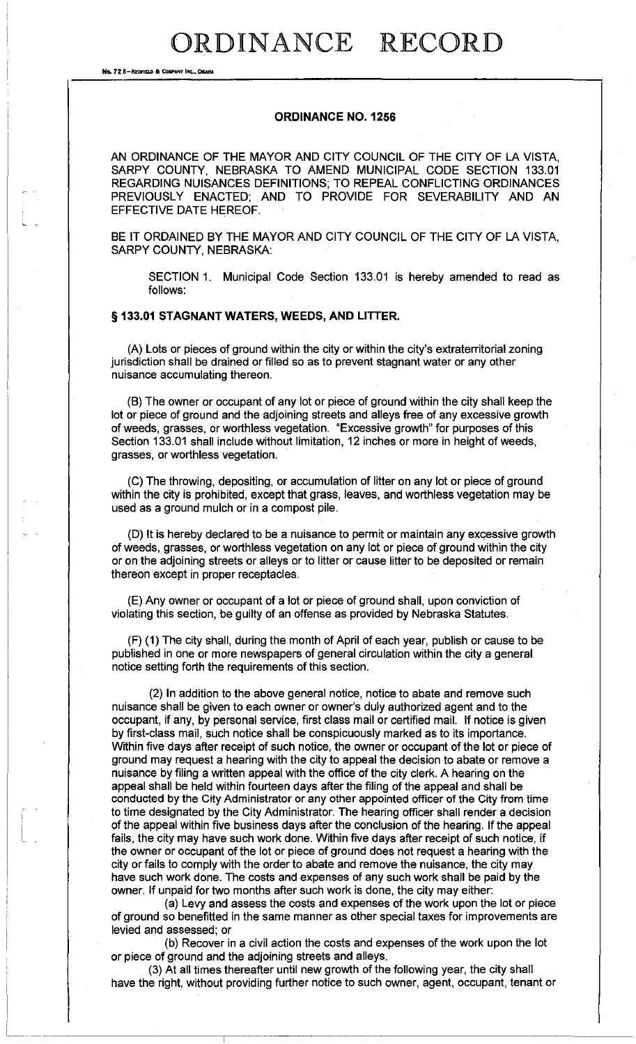## ORDINANCE RECORD

**No. 72 8-REDFFELD & COMPANY INC., OMARA** 

### ORDINANCE NO. 1256

AN ORDINANCE OF THE MAYOR AND CITY COUNCIL OF THE CITY OF LA VISTA, SARPY COUNTY, NEBRASKA TO AMEND MUNICIPAL CODE SECTION 133.01 REGARDING NUISANCES DEFINITIONS; TO REPEAL CONFLICTING ORDINANCES PREVIOUSLY ENACTED; AND TO PROVIDE FOR SEVERABILITY AND AN EFFECTIVE DATE HEREOF.

BE IT ORDAINED BY THE MAYOR AND CITY COUNCIL OF THE CITY OF LA VISTA, SARPY COUNTY, NEBRASKA:

SECTION 1. Municipal Code Section 133.01 is hereby amended to read as follows:

#### § 133.01 STAGNANT WATERS, WEEDS, AND LITTER.

(A) Lots or pieces of ground within the city or within the city's extraterritorial zoning jurisdiction shall be drained or filled so as to prevent stagnant water or any other nuisance accumulating thereon.

(B) The owner or occupant of any lot or piece of ground within the city shall keep the lot or piece of ground and the adjoining streets and alleys free of any excessive growth of weeds, grasses, or worthless vegetation. "Excessive growth" for purposes of this Section 133.01 shall include without limitation, 12 inches or more in height of weeds, grasses, or worthless vegetation.

(C) The throwing, depositing, or accumulation of litter on any lot or piece of ground within the city is prohibited, except that grass, leaves, and worthless vegetation may be used as a ground mulch or in a compost pile.

(D) It is hereby declared to be a nuisance to permit or maintain any excessive growth of weeds, grasses, or worthless vegetation on any lot or piece of ground within the city or on the adjoining streets or alleys or to litter or cause litter to be deposited or remain thereon except in proper receptacles.

(E) Any owner or occupant of a lot or piece of ground shall, upon conviction of violating this section, be guilty of an offense as provided by Nebraska Statutes.

(F) (1) The city shall, during the month of April of each year, publish or cause to be published in one or more newspapers of general circulation within the city a general notice setting forth the requirements of this section.

(2) In addition to the above general notice, notice to abate and remove such nuisance shall be given to each owner or owner's duly authorized agent and to the occupant, if any, by personal service, first class mail or certified mail. If notice is given by first-class mail, such notice shall be conspicuously marked as to its importance. Within five days after receipt of such notice, the owner or occupant of the lot or piece of ground may request a hearing with the city to appeal the decision to abate or remove a nuisance by filing a written appeal with the office of the city clerk. A hearing on the appeal shall be held within fourteen days after the filing of the appeal and shall be conducted by the City Administrator or any other appointed officer of the City from time to time designated by the City Administrator. The hearing officer shall render a decision of the appeal within five business days after the conclusion of the hearing. If the appeal fails, the city may have such work done. Within five days after receipt of such notice, if the owner or occupant of the lot or piece of ground does not request a hearing with the city or fails to comply with the order to abate and remove the nuisance, the city may have such work done. The costs and expenses of any such work shall be paid by the owner. If unpaid for two months after such work is done, the city may either:

(a) Levy and assess the costs and expenses of the work upon the lot or piece of ground so benefitted in the same manner as other special taxes for improvements are levied and assessed; or

(b) Recover in a civil action the costs and expenses of the work upon the lot or piece of ground and the adjoining streets and alleys.

(3) At all times thereafter until new growth of the following year, the city shall have the right, without providing further notice to such owner, agent, occupant, tenant or